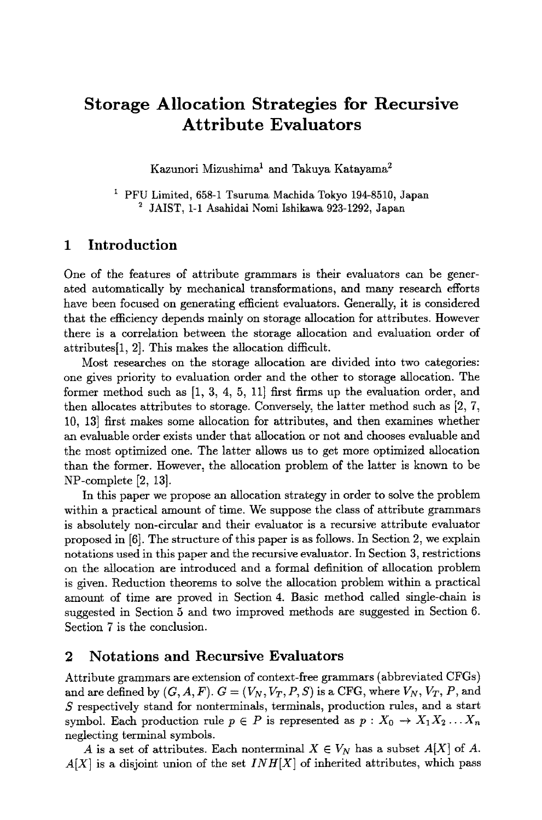# **Storage Allocation Strategies for Recursive Attribute Evaluators**

Kazunori Mizushima<sup>1</sup> and Takuya Katayama<sup>2</sup>

<sup>1</sup> PFU Limited, 658-1 Tsuruma Machida Tokyo 194-8510, Japan **<sup>2</sup>**JAIST, 1-1 Asahidai Nomi Ishikawa 923-1292, Japan

## **1 Introduction**

One of the features of attribute grammars is their evaluators can be generated automatically by mechanical transformations, and many research efforts have been focused on generating efficient evaluators. Generally, it is considered that the efficiency depends mainly on storage allocation for attributes. However there is a correlation between the storage allocation and evaluation order of attributes[I, 2]. This makes the allocation difficult.

Most researches on the storage allocation are divided into two categories: one gives priority to evaluation order and the other to storage allocation. The former method such as [1, 3, 4, 5, 11] first firms up the evaluation order, and then allocates attributes to storage. Conversely, the latter method such as [2, 7, 10, 13] first makes some allocation for attributes, and then examines whether an evaluable order exists under that allocation or not and chooses evaluable and the most optimized one. The latter allows us to get more optimized allocation than the former. However, the allocation problem of the latter is known to be NP-complete [2, 13].

In this paper we propose an allocation strategy in order to solve the problem within a practical amount of time. We suppose the class of attribute grammars is absolutely non-circular and their evaluator is a recursive attribute evaluator proposed in [6]. The structure of this paper is as follows. In Section 2, we explain notations used in this paper and the recursive evaluator. In Section 3, restrictions on the allocation are introduced and a formal definition of allocation problem is given. Reduction theorems to solve the allocation problem within a practical amount of time are proved in Section 4. Basic method called single-chain is suggested in Section 5 and two improved methods are suggested in Section 6. Section 7 is the conclusion.

### **2 Notations and Recursive Evaluators**

Attribute grammars are extension of context-free grammars (abbreviated CFGs) and are defined by  $(G, A, F)$ .  $G = (V_N, V_T, P, S)$  is a CFG, where  $V_N$ ,  $V_T$ ,  $P$ , and S respectively stand for nonterminals, terminals, production rules, and a start symbol. Each production rule  $p \in P$  is represented as  $p : X_0 \to X_1 X_2 ... X_n$ neglecting terminal symbols.

A is a set of attributes. Each nonterminal  $X \in V_N$  has a subset  $A[X]$  of A. *A[X]* is a disjoint union of the set *INH[X]* of inherited attributes, which pass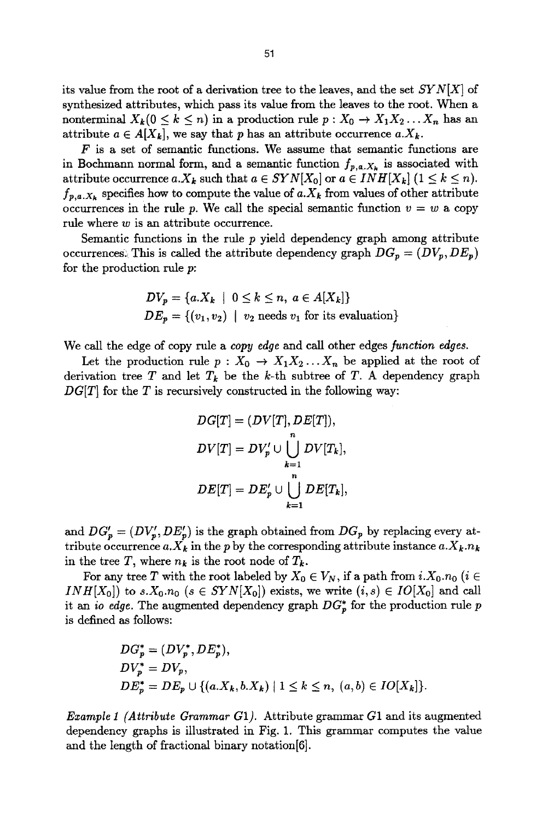its value from the root of a derivation tree to the leaves, and the set *SYN[X]* of synthesized attributes, which pass its value from the leaves to the root. When a nonterminal  $X_k$ ( $0 \le k \le n$ ) in a production rule  $p: X_0 \to X_1 X_2 ... X_n$  has an attribute  $a \in A[X_k]$ , we say that p has an attribute occurrence  $a.X_k$ .

 $F$  is a set of semantic functions. We assume that semantic functions are in Bochmann normal form, and a semantic function  $f_{p,a,X_k}$  is associated with attribute occurrence  $a.X_k$  such that  $a \in SYN[X_0]$  or  $a \in INH[X_k]$   $(1 \leq k \leq n)$ .  $f_{p,a,X_k}$  specifies how to compute the value of  $a.X_k$  from values of other attribute occurrences in the rule p. We call the special semantic function  $v = w$  a copy rule where w is an attribute occurrence.

Semantic functions in the rule  $p$  yield dependency graph among attribute occurrences. This is called the attribute dependency graph  $DG_p = (DV_p, DE_p)$ for the production rule p:

$$
DV_p = \{a.X_k \mid 0 \le k \le n, a \in A[X_k]\}
$$
  

$$
DE_p = \{(v_1, v_2) \mid v_2 \text{ needs } v_1 \text{ for its evaluation}\}
$$

We call the edge of copy rule a *copy* edge and call other edges *function edges.* 

Let the production rule  $p: X_0 \to X_1 X_2 ... X_n$  be applied at the root of derivation tree T and let  $T_k$  be the k-th subtree of T. A dependency graph *DG[T]* for the T is recursively constructed in the following way:

$$
DG[T] = (DV[T], DE[T]),
$$
  
\n
$$
DV[T] = DV'_p \cup \bigcup_{k=1}^n DV[T_k],
$$
  
\n
$$
DE[T] = DE'_p \cup \bigcup_{k=1}^n DE[T_k],
$$

and  $DG'_p = (DV'_p, DE'_p)$  is the graph obtained from  $DG_p$  by replacing every attribute occurrence  $a.X_k$  in the p by the corresponding attribute instance  $a.X_k.n_k$ in the tree T, where  $n_k$  is the root node of  $T_k$ .

For any tree T with the root labeled by  $X_0 \in V_N$ , if a path from  $i.X_0.n_0$  ( $i \in$ *INH[X<sub>0</sub>]*) to *s.X*<sub>0</sub>. $n_0$  ( $s \in SYN[X_0]$ ) exists, we write  $(i, s) \in IO[X_0]$  and call it an *io edge*. The augmented dependency graph  $DG_p^*$  for the production rule p is defined as follows:

$$
DG_p^* = (DV_p^*, DE_p^*),
$$
  
\n
$$
DV_p^* = DV_p,
$$
  
\n
$$
DE_p^* = DE_p \cup \{(a.X_k, b.X_k) | 1 \le k \le n, (a, b) \in IO[X_k] \}.
$$

*Example I (Attribute Grammar G1).* Attribute grammar G1 and its augmented dependency graphs is illustrated in Fig. 1. This grammar computes the value and the length of fractional binary notation[6].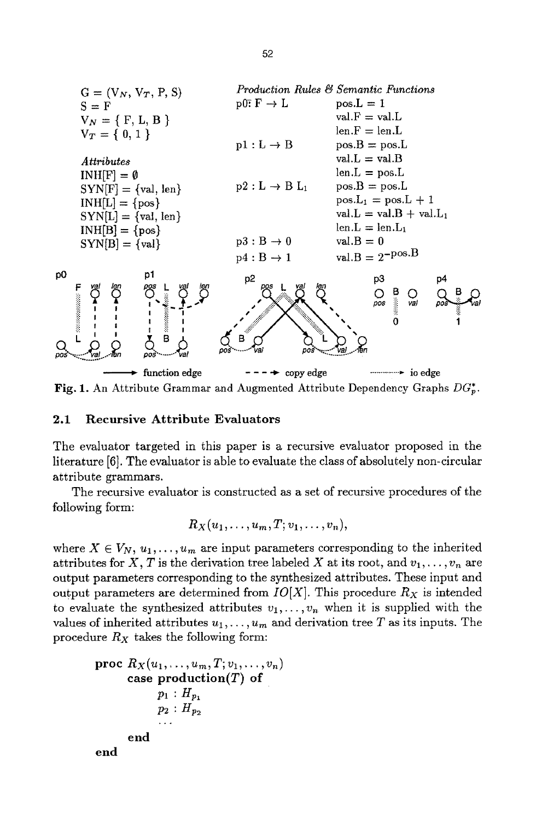

Fig. 1. An Attribute Grammar and Augmented Attribute Dependency Graphs *DG~.* 

#### 2.1 Recursive Attribute Evaluators

The evaluator targeted in this paper is a recursive evaluator proposed in the literature [6]. The evaluator is able to evaluate the class of absolutely non-circular attribute grammars.

The recursive evaluator is constructed as a set of recursive procedures of the following form:

$$
R_X(u_1,\ldots,u_m,T;v_1,\ldots,v_n),
$$

where  $X \in V_N$ ,  $u_1, \ldots, u_m$  are input parameters corresponding to the inherited attributes for X, T is the derivation tree labeled X at its root, and  $v_1, \ldots, v_n$  are output parameters corresponding to the synthesized attributes. These input and output parameters are determined from  $IO[X]$ . This procedure  $R_X$  is intended to evaluate the synthesized attributes  $v_1, \ldots, v_n$  when it is supplied with the values of inherited attributes  $u_1, \ldots, u_m$  and derivation tree T as its inputs. The procedure *Rx* takes the following form:

```
proc R_X(u_1, \ldots, u_m, T; v_1, \ldots, v_n)case production(T) of
             p_1 : H_{p_1}p_2 : H_{p_2}end 
end
```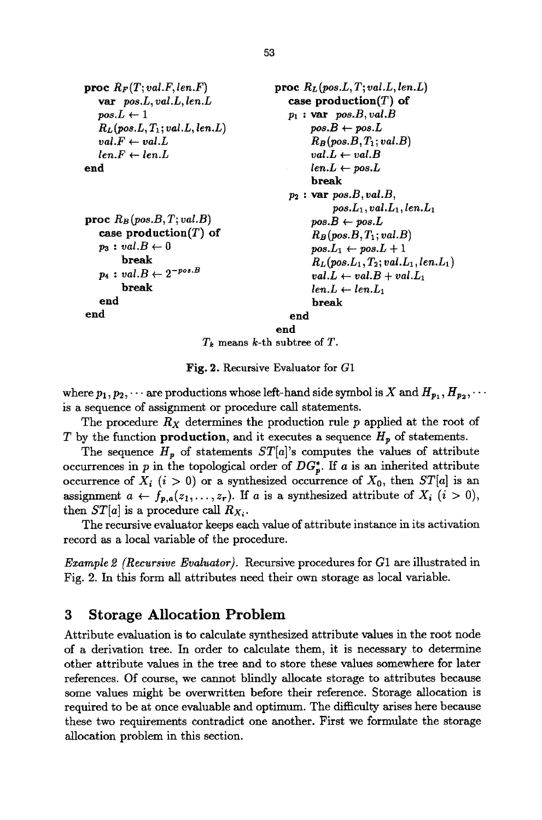```
proc R_F(T; val.F, len.F)vat pos.L, val.L, len.L 
   pos.L \leftarrow 1RL (pos.L, T1; val.L, fen.L) 
   val.F \leftarrow val.Llen.F \leftarrow len.Lend
```

```
proc R_B (pos.B, T; val.B)case production(T) of
   p_3: val.B \leftarrow 0break 
   p_4: val.B \leftarrow 2^{-pos.B}break 
   end 
end
```

```
proc R_L (pos.L, T; val.L, len.L)
   case production(T) of 
   p_1 : var pos.B, val.Bpos.B \leftarrow pos.LRs (pos.B, T1; val.B) 
         val.L \leftarrow val.Blen.L \leftarrow pos.Lbreak 
   p2 : vat pos.B, val.B, 
              pos.L_1, val.L_1, len.L_1pos.B \leftarrow pos.LRs (pos.B, T1 ; val.B) 
         pos.L_1 \leftarrow pos.L + 1R_L (pos.L_1, T_2; val.L_1, len.L_1)val.L \leftarrow val.B + val.L_1len.L \leftarrow len.L_1break 
    end
```
**end** 

*Tk* means k-th subtree of T.

Fig. 2. Recursive Evaluator for  $G1$ 

where  $p_1, p_2, \cdots$  are productions whose left-hand side symbol is X and  $H_{p_1}, H_{p_2}, \cdots$ is a sequence of assignment or procedure call statements.

The procedure  $R_X$  determines the production rule p applied at the root of T by the function **production**, and it executes a sequence  $H_p$  of statements.

The sequence  $H_p$  of statements  $ST[a]$ 's computes the values of attribute occurrences in p in the topological order of  $DG_p^*$ . If a is an inherited attribute occurrence of  $X_i$  ( $i > 0$ ) or a synthesized occurrence of  $X_0$ , then  $ST[a]$  is an assignment  $a \leftarrow f_{p,a}(z_1,\ldots,z_r)$ . If a is a synthesized attribute of  $X_i$   $(i > 0)$ , then  $ST[a]$  is a procedure call  $R_{X_i}$ .

The recursive evaluator keeps each value of attribute instance in its activation record as a local variable of the procedure.

*Example 2 (Recursive Evaluator).* Recursive procedures for G1 are illustrated in Fig. 2. In this form all attributes need their own storage as local variable.

## **3 Storage Allocation Problem**

Attribute evaluation is to calculate synthesized attribute values in the root node of a derivation tree. In order to calculate them, it is necessary to determine other attribute values in the tree and to store these values somewhere for later references. Of course, we cannot blindly allocate storage to attributes because some values might be overwritten before their reference. Storage allocation is required to be at once evaluable and optimum. The difficulty arises here because these two requirements contradict one another. First we formulate the storage allocation problem in this section.

```
53
```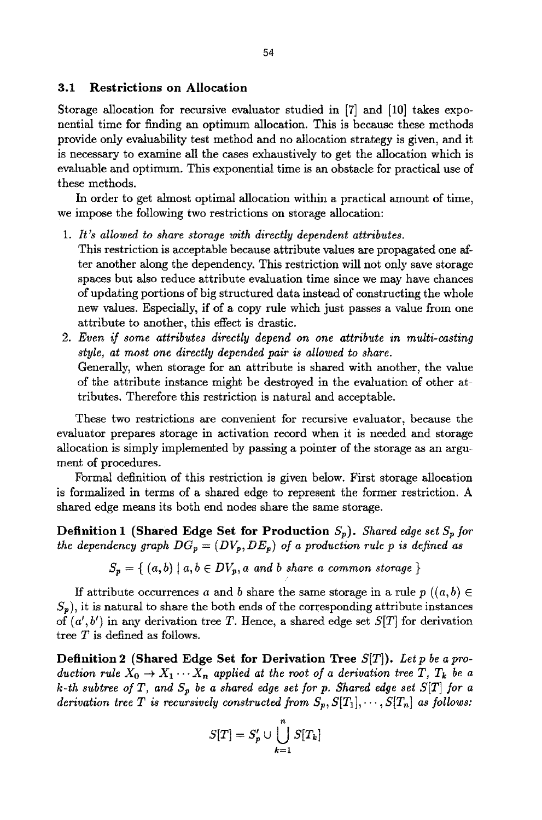#### **3.1 Restrictions on Allocation**

Storage allocation for recursive evaluator studied in [7] and [10] takes exponential time for finding an optimum allocation. This is because these methods provide only evaluability test method and no allocation strategy is given, and it is necessary to examine all the cases exhaustively to get the allocation which is evaluable and optimum. This exponential time is an obstacle for practical use of these methods.

In order to get almost optimal allocation within a practical amount of time, we impose the following two restrictions on storage allocation:

- *1. It's allowed to share storage with directly dependent attributes.*  This restriction is acceptable because attribute values are propagated one after another along the dependency. This restriction will not only save storage spaces but also reduce attribute evaluation time since we may have chances of updating portions of big structured data instead of constructing the whole new values. Especially, if of a copy rule which just passes a value from one attribute to another, this effect is drastic.
- *2. Even if some attributes directly depend on one attribute in multi-casting style, at most one directly depended pair is allowed to share.*  Generally, when storage for an attribute is shared with another, the value of the attribute instance might be destroyed in the evaluation of other attributes. Therefore this restriction is natural and acceptable.

These two restrictions axe convenient for recursive evaluator, because the evaluator prepares storage in activation record when it is needed and storage allocation is simply implemented by passing a pointer of the storage as an argument of procedures.

Formal definition of this restriction is given below. First storage allocation is formalized in terms of a shared edge to represent the former restriction. A shared edge means its both end nodes share the same storage.

**Definition 1 (Shared Edge Set for Production** *Sp). Shared edge set Sp for*  the dependency graph  $DG_p = (DV_p, DE_p)$  of a production rule p is defined as

$$
S_p = \{ (a, b) \mid a, b \in DV_p, a \text{ and } b \text{ share a common storage } \}
$$

If attribute occurrences a and b share the same storage in a rule  $p((a, b) \in$  $S_p$ , it is natural to share the both ends of the corresponding attribute instances of *(a', b')* in any derivation tree T. Hence, a shared edge set *S[T]* for derivation tree T is defined as follows.

**Definition 2** (Shared Edge **Set for Derivation** Tree S[T]). *Letp be a production rule*  $X_0 \to X_1 \cdots X_n$  applied at the root of a derivation tree T,  $T_k$  be a *k*-th subtree of T, and  $S_p$  be a shared edge set for p. Shared edge set  $S[T]$  for a *derivation tree T is recursively constructed from*  $S_p$ ,  $S[T_1], \cdots, S[T_n]$  as follows:

$$
S[T] = S'_p \cup \bigcup_{k=1}^n S[T_k]
$$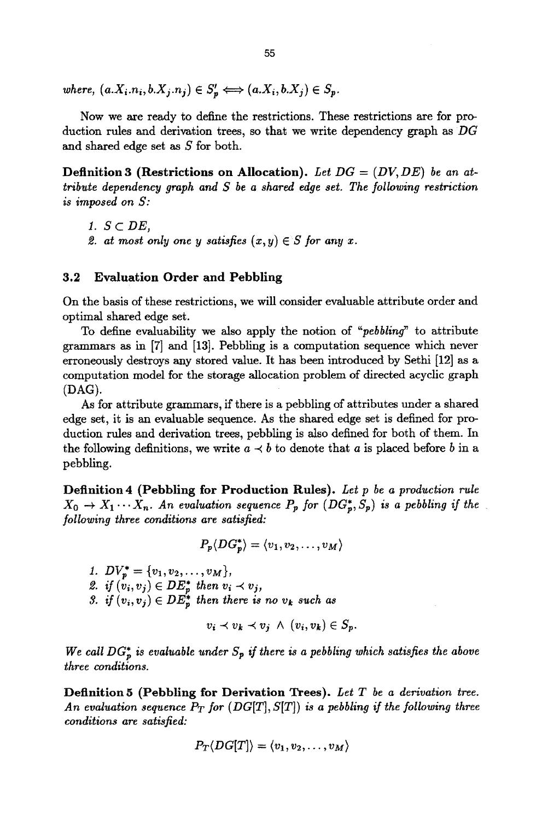*where,*  $(a.X_i.n_i, b.X_j.n_j) \in S'_n \Longleftrightarrow (a.X_i, b.X_j) \in S_n$ .

Now we are ready to define the restrictions. These restrictions are for production rules and derivation trees, so that we write dependency graph as *DG*  and shared edge set as S for both.

**Definition 3 (Restrictions on Allocation).** *Let DG = (DV, DE) be an attribute dependency graph and S be a shared edge set. The following restriction is imposed on S:* 

*1. S C DE,* 

2. at most only one y satisfies  $(x, y) \in S$  for any x.

#### **3.2 Evaluation Order and Pebbling**

On the basis of these restrictions, we will consider evaluable attribute order and optimal shared edge set.

To define evaluability we also apply the notion of *"pebbling"* to attribute grammars as in [7] and [13]. Pebbling is a computation sequence which never erroneously destroys any stored value. It has been introduced by Sethi [12] as a computation model for the storage allocation problem of directed acyclic graph (DAG).

As for attribute grammars, if there is a pebbling of attributes under a shared edge set, it is an evaluable sequence. As the shared edge set is defined for production rules and derivation trees, pebbling is also defined for both of them. In the following definitions, we write  $a \prec b$  to denote that a is placed before b in a pebbling.

**Definition** 4 (Pebbling **for Production** Rules). *Let p be a production rule*   $X_0 \rightarrow X_1 \cdots X_n$ . An evaluation sequence  $P_p$  for  $(DG_p^*, S_p)$  is a pebbling if the *following three conditions are satisfied:* 

 $P_p(DG_n^*) = \langle v_1, v_2, \ldots, v_M \rangle$ 

*1.*  $DV_p^* = \{v_1, v_2, \ldots, v_M\},\$ 2. if  $(v_i, v_j) \in DE_n^*$  then  $v_i \prec v_j$ , *3. if*  $(v_i, v_j) \in DE_n^*$  then there is no  $v_k$  such as

$$
v_i \prec v_k \prec v_j \ \wedge \ (v_i, v_k) \in S_p.
$$

We call  $DG_{p}^{*}$  is evaluable under  $S_{p}$  if there is a pebbling which satisfies the above *three conditions.* 

**Definition** 5 (Pebbling **for Derivation** Trees). *Let T be a derivation tree.*  An evaluation sequence  $P_T$  for  $(DG[T], S[T])$  is a pebbling if the following three *conditions are satisfied:* 

$$
P_T\langle DG[T]\rangle=\langle v_1,v_2,\ldots,v_M\rangle
$$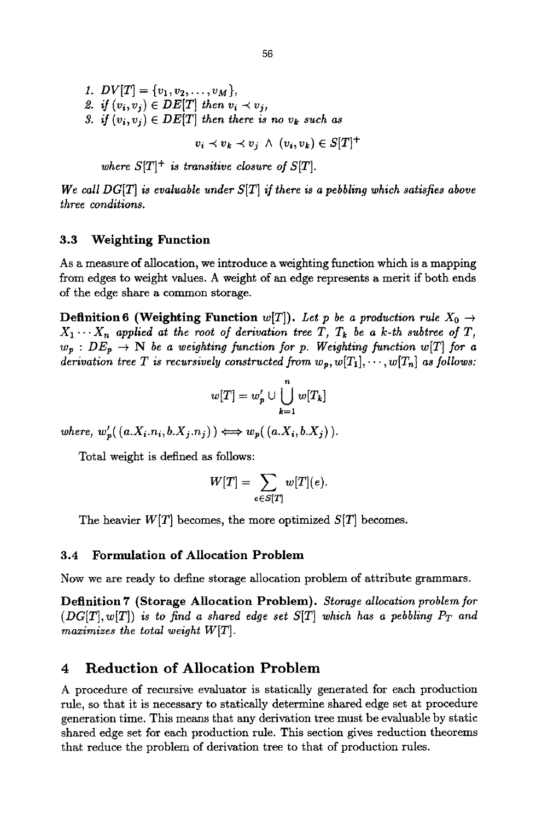*1.*  $DV[T] = \{v_1, v_2, \ldots, v_M\},\$ 2. if  $(v_i, v_j) \in DE[T]$  then  $v_i \prec v_j$ , 3. if  $(v_i, v_j) \in DE[T]$  then there is no  $v_k$  such as  $v_i \prec v_k \prec v_j \land (v_i, v_k) \in S[T]^+$ 

*where*  $S[T]^+$  *is transitive closure of*  $S[T]$ *.* 

*We call DG[T] is evaluable under S[T] if there is a pebbling which satisfies above three conditions.* 

### **3.3 Weighting Function**

As a measure of allocation, we introduce a weighting function which is a mapping from edges to weight values. A weight of an edge represents a merit if both ends of the edge shave a common storage.

**Definition 6 (Weighting Function**  $w[T]$ ). Let p be a production rule  $X_0 \rightarrow$  $X_1 \cdots X_n$  applied at the root of derivation tree T,  $T_k$  be a k-th subtree of T,  $w_p : DE_p \rightarrow N$  be a weighting function for p. Weighting function  $w[T]$  for a *derivation tree T is recursively constructed from*  $w_p, w[T_1], \cdots, w[T_n]$  *as follows:* 

$$
w[T] = w'_p \cup \bigcup_{k=1}^n w[T_k]
$$

where,  $w'_p((a.X_i.n_i, b.X_j.n_j)) \Longleftrightarrow w_p((a.X_i, b.X_j)).$ 

Total weight is defined as follows:

$$
W[T] = \sum_{e \in S[T]} w[T](e).
$$

The heavier  $W[T]$  becomes, the more optimized  $S[T]$  becomes.

#### **3.4 Formulation of Allocation Problem**

Now we are ready to define storage allocation problem of attribute grammars.

**Definition 7 (Storage Allocation Problem).** *Storage allocation problem for*   $(DG[T], w[T])$  *is to find a shared edge set*  $S[T]$  which has a pebbling  $P_T$  and *maximizes the total weight W[T].* 

## **4 Reduction of** Allocation Problem

A procedure of recursive evaluator is statically generated for each production rule, so that it is necessary to statically determine shared edge set at procedure generation time. This means that any derivation tree must be evaluable by static shared edge set for each production rule. This section gives reduction theorems that reduce the problem of derivation tree to that of production rules.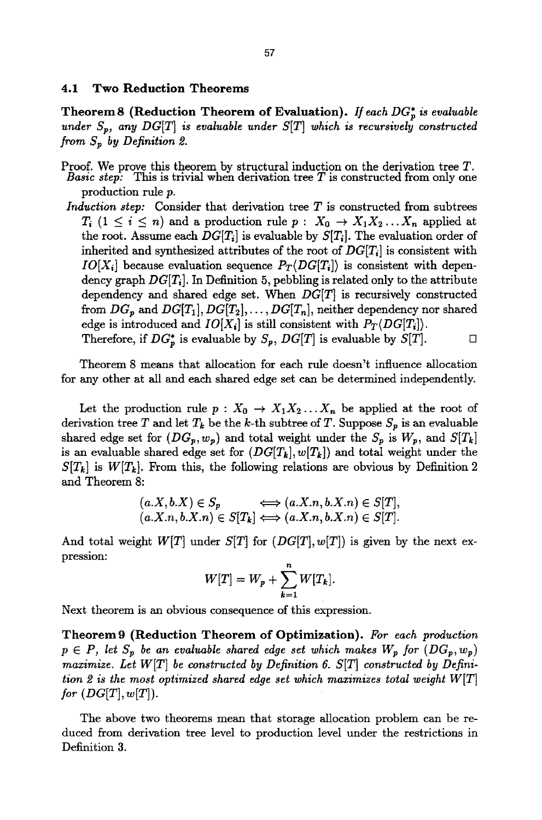#### **4.1 Two Reduction Theorems**

**Theorem8 (Reduction Theorem of Evaluation).** If each DG<sub>p</sub> is evaluable *under*  $S_p$ , any  $DG[T]$  is evaluable under  $S[T]$  which is recursively constructed *from*  $S_p$  by Definition 2.

- Proof. We prove this theorem by structural induction on the derivation tree  $T$ . *Basic step:* This is trivial when derivation tree T is constructed from only one production rule p.
- *Induction step:* Consider that derivation tree T is constructed from subtrees  $T_i$   $(1 \leq i \leq n)$  and a production rule  $p: X_0 \to X_1 X_2 ... X_n$  applied at the root. Assume each  $DG[T_i]$  is evaluable by  $S[T_i]$ . The evaluation order of inherited and synthesized attributes of the root of *DG[Ti]* is consistent with *IO[X<sub>i</sub>]* because evaluation sequence  $P_T(DG[T_i])$  is consistent with dependency graph *DG[Ti].* In Definition 5, pebbling is related only to the attribute dependency and shared edge set. When  $DG[T]$  is recursively constructed from  $DG_p$  and  $DG[T_1], DG[T_2], \ldots, DG[T_n]$ , neither dependency nor shared edge is introduced and  $IO[X_i]$  is still consistent with  $P_T\langle DG[T_i] \rangle$ . Therefore, if  $DG_p^*$  is evaluable by  $S_p$ ,  $DG[T]$  is evaluable by  $S[T]$ .

Theorem 8 means that allocation for each rule doesn't influence allocation for any other at all and each shared edge set can be determined independently.

Let the production rule  $p : X_0 \to X_1 X_2 ... X_n$  be applied at the root of derivation tree T and let  $T_k$  be the k-th subtree of T. Suppose  $S_p$  is an evaluable shared edge set for  $(DG_p, w_p)$  and total weight under the  $S_p$  is  $W_p$ , and  $S[T_k]$ is an evaluable shared edge set for  $(DG[T_k], w[T_k])$  and total weight under the  $S[T_k]$  is  $W[T_k]$ . From this, the following relations are obvious by Definition 2 and Theorem 8:

$$
(a.X, b.X) \in S_p \iff (a.X.n, b.X.n) \in S[T],
$$
  

$$
(a.X.n, b.X.n) \in S[T_k] \iff (a.X.n, b.X.n) \in S[T].
$$

And total weight  $W[T]$  under  $S[T]$  for  $(DG[T], w[T])$  is given by the next expression:

$$
W[T] = W_p + \sum_{k=1}^n W[T_k].
$$

Next theorem is an obvious consequence of this expression.

**Theorem9 (Reduction Theorem of Optimization).** *For each production*   $p \in P$ , let  $S_p$  be an evaluable shared edge set which makes  $W_p$  for  $(DG_p, w_p)$ *maximize. Let WIT] be constructed by Definition 6. SIT] constructed by Definition 2 is the most optimized shared edge set which maximizes total weight WIT]*   $for (DG[T], w[T]).$ 

The above two theorems mean that storage allocation problem can be reduced from derivation tree level to production level under the restrictions in Definition 3.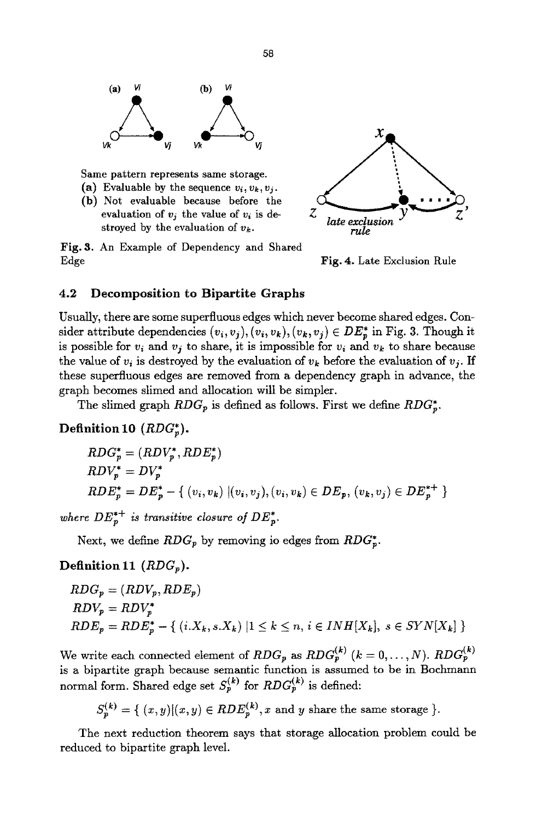

Same pattern represents same storage.

- (a) Evaluable by the sequence  $v_i, v_k, v_i$ .
- (b) Not evaluable because before the evaluation of  $v_j$  the value of  $v_i$  is destroyed by the evaluation of  $v_k$ .

Fig. 3. An Example of Dependency and Shared Edge



Fig, 4. Late Exclusion Rule

### **4.2 Decomposition to Bipartite Graphs**

Usually, there are some superfluous edges which never become shared edges. Consider attribute dependencies  $(v_i, v_j), (v_i, v_k), (v_k, v_j) \in DE_p^*$  in Fig. 3. Though it is possible for  $v_i$  and  $v_j$  to share, it is impossible for  $v_i$  and  $v_k$  to share because the value of  $v_i$  is destroyed by the evaluation of  $v_k$  before the evaluation of  $v_j$ . If these superfluous edges are removed from a dependency graph in advance, the graph becomes slimed and allocation will be simpler.

The slimed graph  $RDG_p$  is defined as follows. First we define  $RDG_p^*$ .

### **Definition 10**  $(RDG_p^*$ .

$$
RDC_p^* = (RDV_p^*, RDE_p^*)
$$
  
\n
$$
RDV_p^* = DV_p^*
$$
  
\n
$$
RDE_p^* = DE_p^* - \{ (v_i, v_k) | (v_i, v_j), (v_i, v_k) \in DE_p, (v_k, v_j) \in DE_p^{*+} \}
$$

where  $DE_p^{*+}$  is transitive closure of  $DE_p^*$ .

Next, we define  $RDG_p$  by removing io edges from  $RDG_p^*$ .

### **Definition** 11 *(RDGp).*

$$
RDC_p = (RDV_p, RDE_p)
$$
  
\n
$$
RDV_p = RDV_p^*
$$
  
\n
$$
RDE_p = RDE_p^* - \{ (i.X_k, s.X_k) | 1 \le k \le n, i \in INH[X_k], s \in SYN[X_k] \}
$$

We write each connected element of  $RDG_p$  as  $RDG_p^{(k)}$   $(k = 0, \ldots, N)$ .  $RDG_p^{(k)}$ is a bipartite graph because semantic function is assumed to be in Bochmann normal form. Shared edge set  $S_p^{(k)}$  for  $RDG_p^{(k)}$  is defined:

$$
S_p^{(k)} = \{ (x, y) | (x, y) \in RDE_p^{(k)}, x \text{ and } y \text{ share the same storage } \}.
$$

The next reduction theorem says that storage allocation problem could be reduced to bipartite graph level.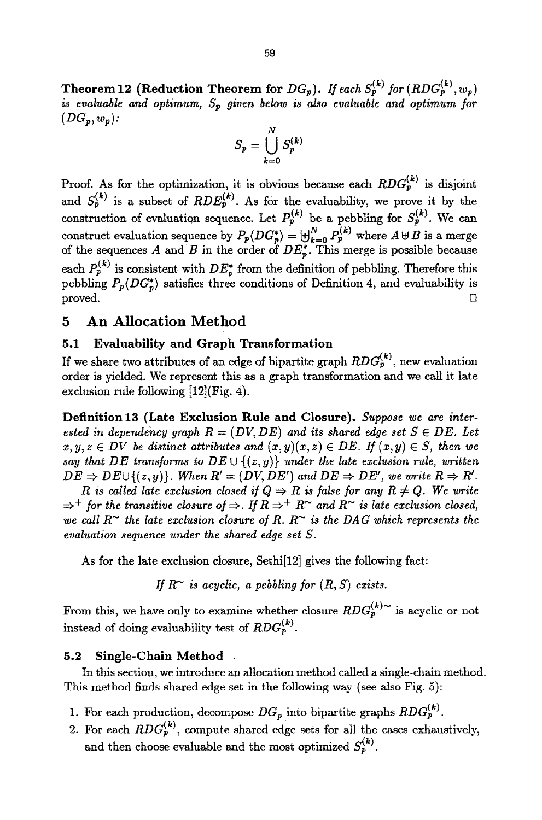**Theorem 12 (Reduction Theorem for**  $DG_p$ **).** If each  $S_p^{(k)}$  for  $(RDG_p^{(k)}, w_p)$ *is evatuable and optimum, Sp given below is also evatuable and optimum for*   $(DG_p, w_p)$ :

$$
S_p = \bigcup_{k=0}^N S_p^{(k)}
$$

Proof. As for the optimization, it is obvious because each  $RDG_p^{(k)}$  is disjoint and  $S_p^{(k)}$  is a subset of  $RDE_p^{(k)}$ . As for the evaluability, we prove it by the construction of evaluation sequence. Let  $P_p^{(k)}$  be a pebbling for  $S_p^{(k)}$ . We can construct evaluation sequence by  $P_p\langle DG_p^* \rangle = \biguplus_{k=0}^{N} P_p^{(k)}$  where  $A \oplus B$  is a merge of the sequences A and B in the order of  $DE^*_{p}$ . This merge is possible because each  $P_p^{(k)}$  is consistent with  $DE_p^*$  from the definition of pebbling. Therefore this pebbling  $P_p\langle DG^*_p \rangle$  satisfies three conditions of Definition 4, and evaluability is  $\Box$  proved.  $\Box$ 

## **5 An Allocation Method**

### **5.1 Evaluability and Graph Transformation**

If we share two attributes of an edge of bipartite graph  $RDG_p^{(k)}$ , new evaluation order is yielded. We represent this as a graph transformation mad we call it late exclusion rule following [12](Fig. 4).

**Definition 13 (Late Exclusion Rule and Closure).** *Suppose we* are *interested in dependency graph*  $R = (DV, DE)$  and its shared edge set  $S \in DE$ . Let  $x, y, z \in DV$  be distinct attributes and  $(x, y)(x, z) \in DE$ . If  $(x, y) \in S$ , then we *say that DE transforms to DE*  $\cup$   $\{(z, y)\}$  *under the late exclusion rule, written*  $DE \Rightarrow DE \cup \{(z,y)\}.$  When  $R' = (DV, DE')$  and  $DE \Rightarrow DE'$ , we write  $R \Rightarrow R'$ .

*R* is called late exclusion closed if  $Q \Rightarrow R$  is false for any  $R \neq Q$ . We write  $\Rightarrow^+$  for the transitive closure of  $\Rightarrow$ . If  $R \Rightarrow^+ R^{\sim}$  and  $R^{\sim}$  is late exclusion closed, *we call R<sup>* $\sim$ *</sup> the late exclusion closure of R. R* $\sim$  *is the DAG which represents the evaluation sequence under the shared edge set S.* 

As for the late exclusion closure, Sethi[12] gives the following fact:

*If*  $R^{\sim}$  *is acyclic, a pebbling for*  $(R, S)$  *exists.* 

From this, we have only to examine whether closure  $RDG_p^{(k)\sim}$  is acyclic or not instead of doing evaluability test of  $RDG_p^{(k)}$ .

#### **5.2 Single-Chain Method**

In this section, we introduce an allocation method called a single-chain method. This method finds shared edge set in the following way (see also Fig. 5):

- 1. For each production, decompose  $DG_p$  into bipartite graphs  $RDG_p^{(k)}$ .
- 2. For each  $RDG_p^{(k)}$ , compute shared edge sets for all the cases exhaustively, and then choose evaluable and the most optimized  $S_p^{(k)}$ .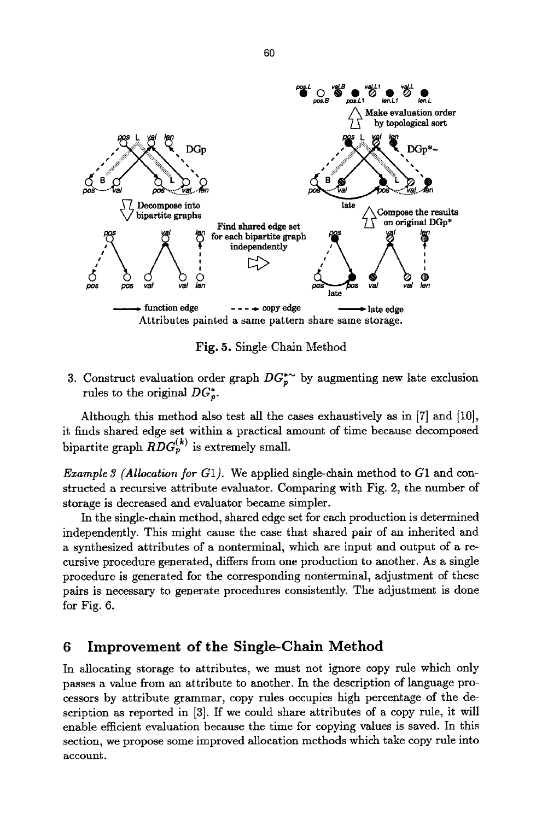

**Fig. 5. Single-Chain Method** 

3. Construct evaluation order graph  $DG_r^*$  by augmenting new late exclusion rules to the original  $DG_{p}^{*}$ .

Although this method also test all the cases exhaustively as in  $[7]$  and  $[10]$ , it finds shared edge set within a practical amount of time because decomposed bipartite graph  $RDG_n^{(k)}$  is extremely small.

*Example 3 (Allocation for G1).* We applied single-chain method to G1 and constructed a recursive attribute evaluator. Comparing with Fig. 2, the number of storage is decreased and evaluator became simpler.

In the single-chain method, shared edge set for each production is determined independently. This might cause the case that shared pair of an inherited and a synthesized attributes of a nonterminal, which axe input and output of a recursive procedure generated, differs from one production to another. As a single procedure is generated for the corresponding nonterminal, adjustment of these pairs is necessary to generate procedures consistently. The adjustment is done for Fig. 6.

## **6 Improvement of the Single-Chain Method**

In allocating storage to attributes, we must not ignore copy rule which only passes a value from an attribute to another. In the description of language processors by attribute grammar, copy rules occupies high percentage of the description as reported in [3]. If we could share attributes of a copy rule, it will enable efficient evaluation because the time for copying values is saved. In this section, we propose some improved allocation methods which take copy rule into account.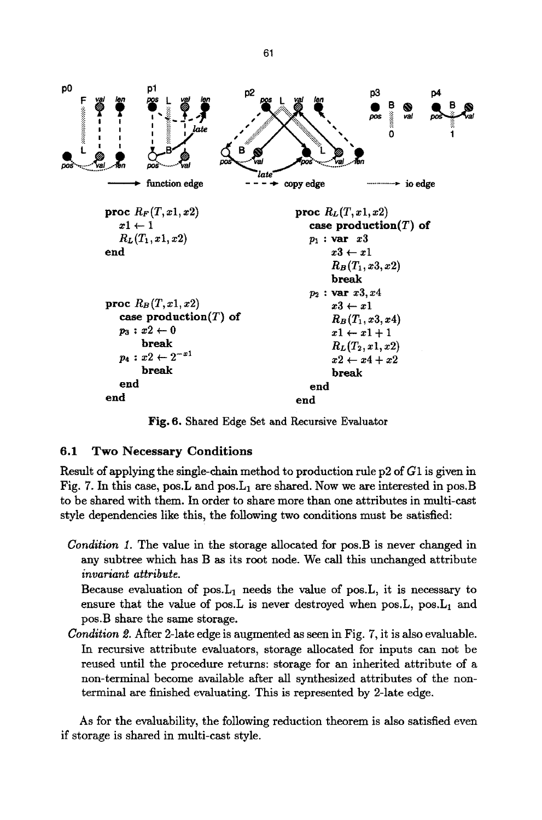

Fig. 6. Shared Edge Set and Recursive Evaluator

### **6.1 Two Necessary Conditions**

Result of applying the single-chain method to production rule p2 of G1 is given in Fig. 7. In this case, pos. L and pos.  $L_1$  are shared. Now we are interested in pos. B to be shared with them. In order to share more than one attributes in multi-cast style dependencies like this, the following two conditions must be satisfied:

*Condition 1.* The value in the storage allocated for pos.B is never changed in any subtree which has B as its root node. We call this unchanged attribute *invariant attribute.* 

Because evaluation of  $pos.L_1$  needs the value of pos. L, it is necessary to ensure that the value of pos. L is never destroyed when pos. L, pos.  $L_1$  and pos.B share the same storage.

*Condition 2.* After 2-late edge is augmented as seen in Fig. 7, it is also evaluable. In recursive attribute evaluators, storage allocated for inputs can not be reused until the procedure returns: storage for an inherited attribute of a non-terminal become available after all synthesized attributes of the nonterminal are finished evaluating. This is represented by 2-1ate edge.

As for the evaluability, the following reduction theorem is also satisfied even if storage is shared in multi-cast style.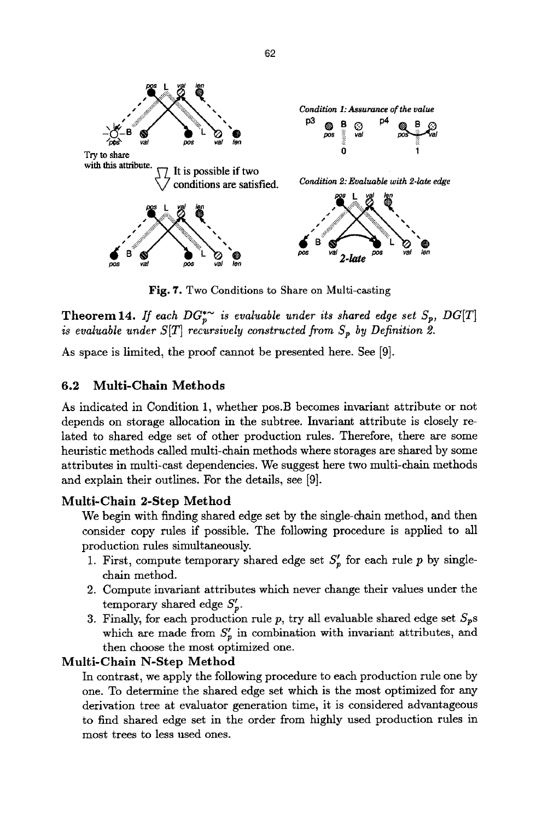

Fig. 7. Two Conditions to Share on Multi-casting

**Theorem 14.** *If each*  $DG_p^*$  *is evaluable under its shared edge set*  $S_p$ ,  $DG[T]$ *is evaluable under*  $S[T]$  *recursively constructed from*  $S_p$  *by Definition 2.* 

As space is limited, the proof cannot be presented here. See [9].

#### **6.2 Multi-Chain Methods**

As indicated in Condition 1, whether pos.B becomes invariant attribute or not depends on storage allocation in the subtree. Invariant attribute is closely related to shared edge set of other production rules. Therefore, there are some heuristic methods called multi-chain methods where storages are shared by some attributes in multi-cast dependencies. We suggest here two multi-chain methods and explain their outlines. For the details, see [9].

### **Multi-Chain 2-Step Method**

We begin with finding shared edge set by the single-chain method, and then consider copy rules if possible. The following procedure is applied to all production rules simultaneously.

- 1. First, compute temporary shared edge set  $S'_{p}$  for each rule p by singlechain method.
- 2. Compute invariant attributes which never change their values under the temporary shared edge  $S_{p}^{\prime}$ .
- 3. Finally, for each production rule p, try all evaluable shared edge set  $S_p$ s which are made from  $S'_{p}$  in combination with invariant attributes, and then choose the most optimized one.

### **Multi-Chain N-Step Method**

In contrast, we apply the following procedure to each production rule one by one. To determine the shared edge set which is the most optimized for any derivation tree at evaluator generation time, it is considered advantageous to find shared edge set in the order from highly used production rules in most trees to less used ones.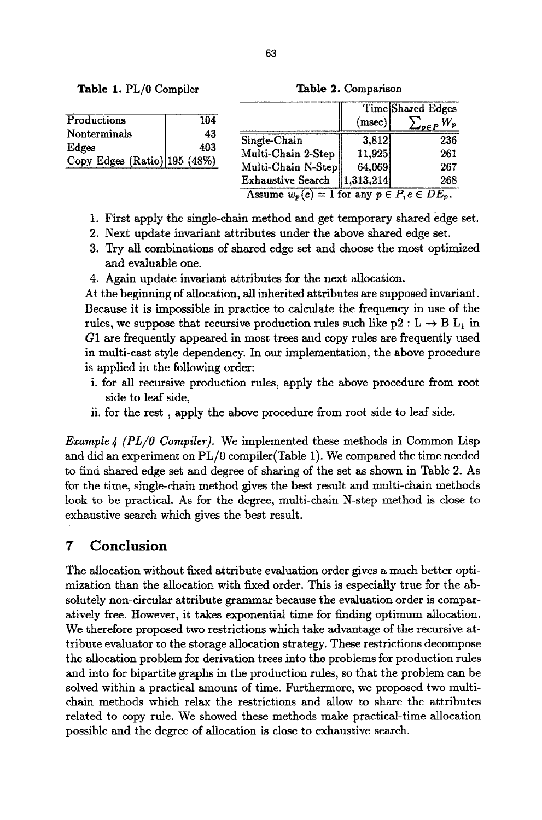Table 1. PL/0 Compiler

**Table** 2. Comparison

|                                       |           |                                                     |                       | Time Shared Edges    |
|---------------------------------------|-----------|-----------------------------------------------------|-----------------------|----------------------|
| Productions                           | 104       |                                                     | (msec)                | $\mathcal{L}_{peP}W$ |
| Nonterminals                          | 43<br>403 | Single-Chain                                        | 3.812                 | 236                  |
| Edges<br>Copy Edges (Ratio) 195 (48%) |           | Multi-Chain 2-Step                                  | 11.925                | 261                  |
|                                       |           | Multi-Chain N-Step                                  | 64.069                | 267                  |
|                                       |           | <b>Exhaustive Search</b>                            | $\parallel$ 1.313.214 | 268                  |
|                                       |           | Assume $w_p(e) = 1$ for any $p \in P, e \in DE_p$ . |                       |                      |

- 1. First apply the single-chain method and get temporary shared edge set.
- 2. Next update invariant attributes under the above shared edge set.
- 3. Try all combinations of shared edge set and choose the most optimized and evaluable one.
- 4. Again update invariant attributes for the next allocation.

At the beginning of allocation, all inherited attributes are supposed invariant. Because it is impossible in practice to calculate the frequency in use of the rules, we suppose that recursive production rules such like  $p2: L \rightarrow B L_1$  in G1 are frequently appeared in most trees and copy rules are frequently used in multi-cast style dependency. In our implementation, the above procedure is applied in the following order:

- i. for all recursive production rules, apply the above procedure from root side to leaf side,
- ii. for the rest, apply the above procedure from root side to leaf side.

*Example 4 (PL/O Compiler).* We implemented these methods in Common Lisp and did an experiment on PL/0 compiler(Table 1). We compared the time needed to find shared edge set and degree of sharing of the set as showa in Table 2. As for the time, single-chain method gives the best result and multi-chain methods look to be practical. As for the degree, multi-chain N-step method is close to exhaustive search which gives the best result.

## **7 Conclusion**

The allocation without fixed attribute evaluation order gives a much better optimization than the allocation with fixed order. This is especially true for the absolutely non-circular attribute grammar because the evaluation order is comparatively free. However, it takes exponential time for finding optimum allocation. We therefore proposed two restrictions which take advantage of the recursive attribute evaluator to the storage allocation strategy. These restrictions decompose the allocation problem for derivation trees into the problems for production rules and into for bipartite graphs in the production rules, so that the problem can be solved within a practical amount of time. Furthermore, we proposed two multichain methods which relax the restrictions and allow to share the attributes related to copy rule. We showed these methods make practical-time allocation possible and the degree of allocation is close to exhaustive search.